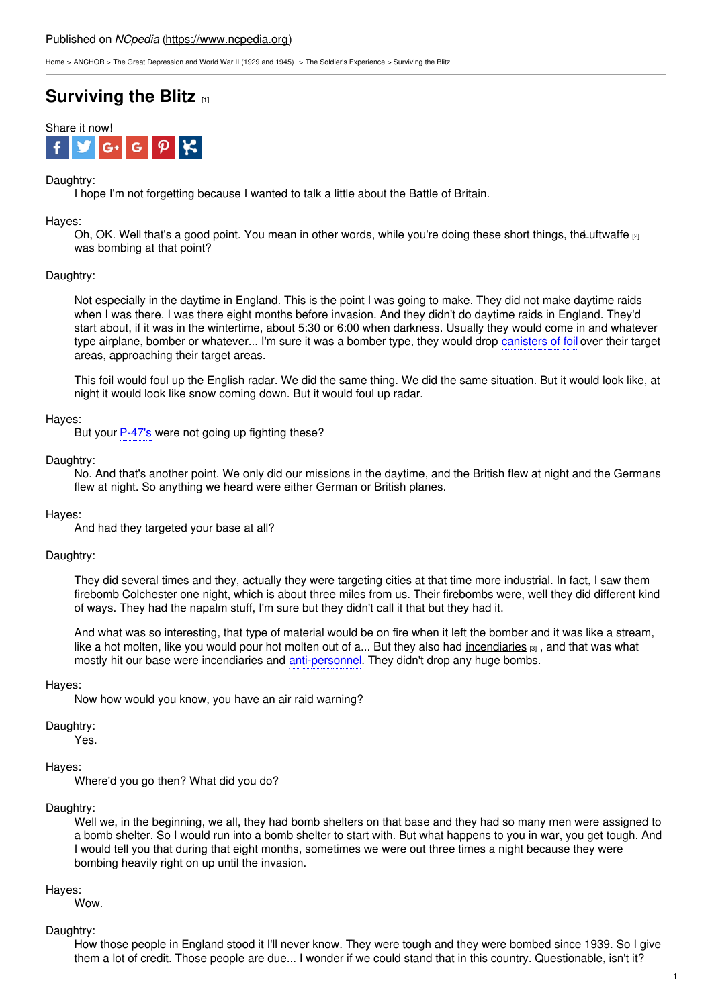[Home](https://www.ncpedia.org/) > [ANCHOR](https://www.ncpedia.org/anchor/anchor) > The Great [Depression](https://www.ncpedia.org/anchor/great-depression-and-world) and World War II (1929 and 1945) > The Soldier's [Experience](https://www.ncpedia.org/anchor/soldiers-experience) > Surviving the Blitz

# **[Surviving](https://www.ncpedia.org/anchor/surviving-blitz) the Blitz [1]**



## Daughtry:

I hope I'm not forgetting because I wanted to talk a little about the Battle of Britain.

Hayes:

Oh, OK. Well that's a good point. You mean in other words, while you're doing these short things, the Luftwaffe  $_{[2]}$ was bombing at that point?

## Daughtry:

Not especially in the daytime in England. This is the point I was going to make. They did not make daytime raids when I was there. I was there eight [months](http://www.social9.com) before invasion. And they didn't do daytime raids in England. They'd start about, if it was in the wintertime, about 5:30 or 6:00 when darkness. Usually they would come in and whatever type airplane, bomber or whatever... I'm sure it was a bomber type, they would drop canisters of foil over their target areas, approaching their target areas.

This foil would foul up the English radar. We did the same thing. We did the same situation. But it would look like, at night it would look like snow coming down. But it would foul up radar.

#### Hayes:

But your P-47's were not going up fighting these?

#### Daughtry:

No. And that's another point. We only did our missions in the daytime, and the British flew at night and the Germans flew at night. So anything we heard were either German or British planes.

#### Hayes:

And had they targeted your base at all?

#### Daughtry:

They did several times and they, actually they were targeting cities at that time more industrial. In fact, I saw them firebomb Colchester one night, which is about three miles from us. Their firebombs were, well they did different kind of ways. They had the napalm stuff, I'm sure but they didn't call it that but they had it.

And what was so interesting, that type of material would be on fire when it left the bomber and it was like a stream, like a hot molten, like you would pour hot molten out of a... But they also had [incendiaries](https://www.ncpedia.org/glossary/incendiary)  $[3]$ , and that was what mostly hit our base were incendiaries and anti-personnel. They didn't drop any huge bombs.

#### Hayes:

Now how would you know, you have an air raid warning?

Daughtry:

Yes.

#### Hayes:

Where'd you go then? What did you do?

#### Daughtry:

Well we, in the beginning, we all, they had bomb shelters on that base and they had so many men were assigned to a bomb shelter. So I would run into a bomb shelter to start with. But what happens to you in war, you get tough. And I would tell you that during that eight months, sometimes we were out three times a night because they were bombing heavily right on up until the invasion.

#### Hayes:

Wow.

#### Daughtry:

How those people in England stood it I'll never know. They were tough and they were bombed since 1939. So I give them a lot of credit. Those people are due... I wonder if we could stand that in this country. Questionable, isn't it?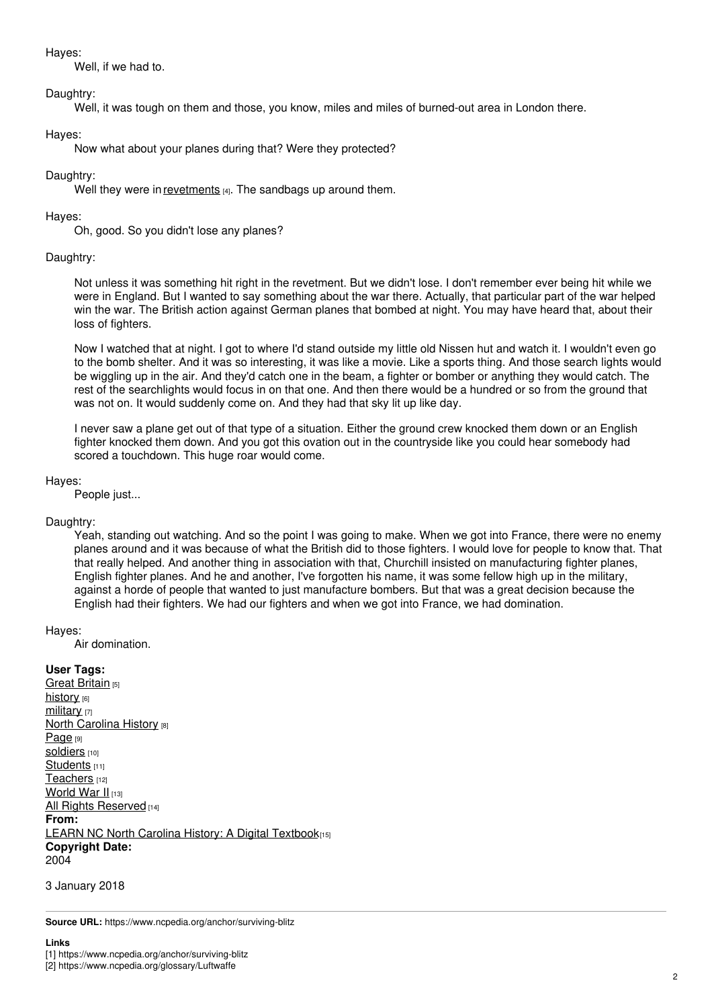Hayes:

Well, if we had to.

# Daughtry:

Well, it was tough on them and those, you know, miles and miles of burned-out area in London there.

# Hayes:

Now what about your planes during that? Were they protected?

# Daughtry:

Well they were in [revetments](https://www.ncpedia.org/glossary/revetment) [4]. The sandbags up around them.

# Hayes:

Oh, good. So you didn't lose any planes?

# Daughtry:

Not unless it was something hit right in the revetment. But we didn't lose. I don't remember ever being hit while we were in England. But I wanted to say something about the war there. Actually, that particular part of the war helped win the war. The British action against German planes that bombed at night. You may have heard that, about their loss of fighters.

Now I watched that at night. I got to where I'd stand outside my little old Nissen hut and watch it. I wouldn't even go to the bomb shelter. And it was so interesting, it was like a movie. Like a sports thing. And those search lights would be wiggling up in the air. And they'd catch one in the beam, a fighter or bomber or anything they would catch. The rest of the searchlights would focus in on that one. And then there would be a hundred or so from the ground that was not on. It would suddenly come on. And they had that sky lit up like day.

I never saw a plane get out of that type of a situation. Either the ground crew knocked them down or an English fighter knocked them down. And you got this ovation out in the countryside like you could hear somebody had scored a touchdown. This huge roar would come.

## Hayes:

People just...

# Daughtry:

Yeah, standing out watching. And so the point I was going to make. When we got into France, there were no enemy planes around and it was because of what the British did to those fighters. I would love for people to know that. That that really helped. And another thing in association with that, Churchill insisted on manufacturing fighter planes, English fighter planes. And he and another, I've forgotten his name, it was some fellow high up in the military, against a horde of people that wanted to just manufacture bombers. But that was a great decision because the English had their fighters. We had our fighters and when we got into France, we had domination.

#### Hayes:

Air domination.

# **User Tags:**

Great [Britain](https://www.ncpedia.org/category/user-tags/great-britain) [5] [history](https://www.ncpedia.org/category/user-tags/history) [6] [military](https://www.ncpedia.org/category/user-tags/military) [7] **North [Carolina](https://www.ncpedia.org/category/user-tags/north-carolina-6) History [8]** [Page](https://www.ncpedia.org/category/user-tags/page) [9] [soldiers](https://www.ncpedia.org/category/user-tags/soldiers) [10] [Students](https://www.ncpedia.org/category/user-tags/students) [11] [Teachers](https://www.ncpedia.org/category/user-tags/teachers) [12] [World](https://www.ncpedia.org/category/user-tags/world-war-ii) War II [13] All Rights [Reserved](https://www.ncpedia.org/category/user-tags/all-rights) [14] **From:** LEARN NC North Carolina History: A Digital [Textbook](https://www.ncpedia.org/category/entry-source/learn-nc)[15] **Copyright Date:** 2004

3 January 2018

**Source URL:** https://www.ncpedia.org/anchor/surviving-blitz